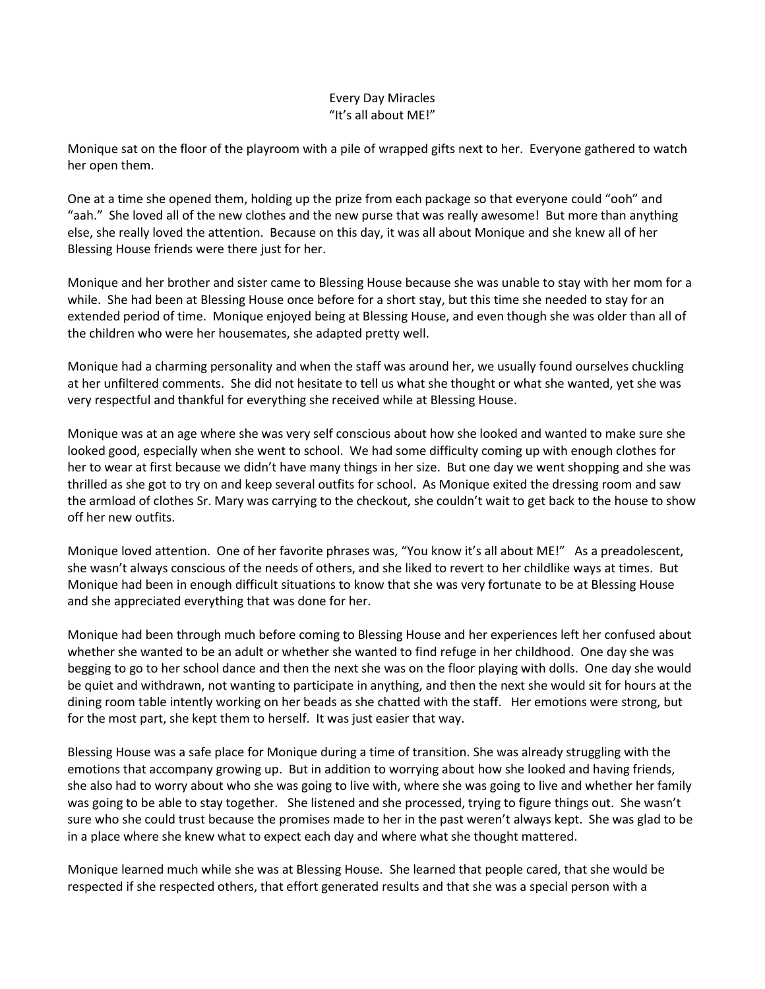## Every Day Miracles "It's all about ME!"

Monique sat on the floor of the playroom with a pile of wrapped gifts next to her. Everyone gathered to watch her open them.

One at a time she opened them, holding up the prize from each package so that everyone could "ooh" and "aah." She loved all of the new clothes and the new purse that was really awesome! But more than anything else, she really loved the attention. Because on this day, it was all about Monique and she knew all of her Blessing House friends were there just for her.

Monique and her brother and sister came to Blessing House because she was unable to stay with her mom for a while. She had been at Blessing House once before for a short stay, but this time she needed to stay for an extended period of time. Monique enjoyed being at Blessing House, and even though she was older than all of the children who were her housemates, she adapted pretty well.

Monique had a charming personality and when the staff was around her, we usually found ourselves chuckling at her unfiltered comments. She did not hesitate to tell us what she thought or what she wanted, yet she was very respectful and thankful for everything she received while at Blessing House.

Monique was at an age where she was very self conscious about how she looked and wanted to make sure she looked good, especially when she went to school. We had some difficulty coming up with enough clothes for her to wear at first because we didn't have many things in her size. But one day we went shopping and she was thrilled as she got to try on and keep several outfits for school. As Monique exited the dressing room and saw the armload of clothes Sr. Mary was carrying to the checkout, she couldn't wait to get back to the house to show off her new outfits.

Monique loved attention. One of her favorite phrases was, "You know it's all about ME!" As a preadolescent, she wasn't always conscious of the needs of others, and she liked to revert to her childlike ways at times. But Monique had been in enough difficult situations to know that she was very fortunate to be at Blessing House and she appreciated everything that was done for her.

Monique had been through much before coming to Blessing House and her experiences left her confused about whether she wanted to be an adult or whether she wanted to find refuge in her childhood. One day she was begging to go to her school dance and then the next she was on the floor playing with dolls. One day she would be quiet and withdrawn, not wanting to participate in anything, and then the next she would sit for hours at the dining room table intently working on her beads as she chatted with the staff. Her emotions were strong, but for the most part, she kept them to herself. It was just easier that way.

Blessing House was a safe place for Monique during a time of transition. She was already struggling with the emotions that accompany growing up. But in addition to worrying about how she looked and having friends, she also had to worry about who she was going to live with, where she was going to live and whether her family was going to be able to stay together. She listened and she processed, trying to figure things out. She wasn't sure who she could trust because the promises made to her in the past weren't always kept. She was glad to be in a place where she knew what to expect each day and where what she thought mattered.

Monique learned much while she was at Blessing House. She learned that people cared, that she would be respected if she respected others, that effort generated results and that she was a special person with a